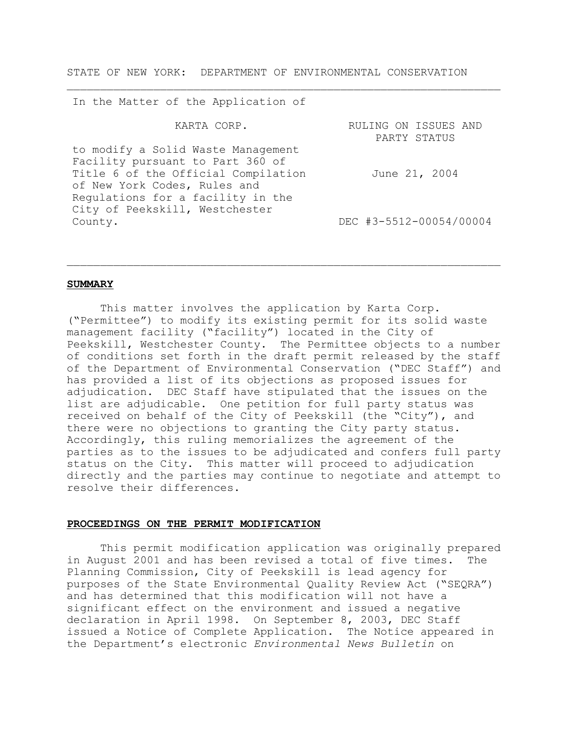STATE OF NEW YORK: DEPARTMENT OF ENVIRONMENTAL CONSERVATION

 $\_$  , and the set of the set of the set of the set of the set of the set of the set of the set of the set of the set of the set of the set of the set of the set of the set of the set of the set of the set of the set of th

In the Matter of the Application of

| KARTA CORP.                         | RULING ON ISSUES AND    |
|-------------------------------------|-------------------------|
|                                     | PARTY STATUS            |
| to modify a Solid Waste Management  |                         |
| Facility pursuant to Part 360 of    |                         |
| Title 6 of the Official Compilation | June 21, 2004           |
| of New York Codes, Rules and        |                         |
| Requlations for a facility in the   |                         |
| City of Peekskill, Westchester      |                         |
| County.                             | DEC #3-5512-00054/00004 |
|                                     |                         |

 $\_$  , and the set of the set of the set of the set of the set of the set of the set of the set of the set of the set of the set of the set of the set of the set of the set of the set of the set of the set of the set of th

#### **SUMMARY**

This matter involves the application by Karta Corp. ("Permittee") to modify its existing permit for its solid waste management facility ("facility") located in the City of Peekskill, Westchester County. The Permittee objects to a number of conditions set forth in the draft permit released by the staff of the Department of Environmental Conservation ("DEC Staff") and has provided a list of its objections as proposed issues for adjudication. DEC Staff have stipulated that the issues on the list are adjudicable. One petition for full party status was received on behalf of the City of Peekskill (the "City"), and there were no objections to granting the City party status. Accordingly, this ruling memorializes the agreement of the parties as to the issues to be adjudicated and confers full party status on the City. This matter will proceed to adjudication directly and the parties may continue to negotiate and attempt to resolve their differences.

#### **PROCEEDINGS ON THE PERMIT MODIFICATION**

This permit modification application was originally prepared in August 2001 and has been revised a total of five times. The Planning Commission, City of Peekskill is lead agency for purposes of the State Environmental Quality Review Act ("SEQRA") and has determined that this modification will not have a significant effect on the environment and issued a negative declaration in April 1998. On September 8, 2003, DEC Staff issued a Notice of Complete Application. The Notice appeared in the Department's electronic *Environmental News Bulletin* on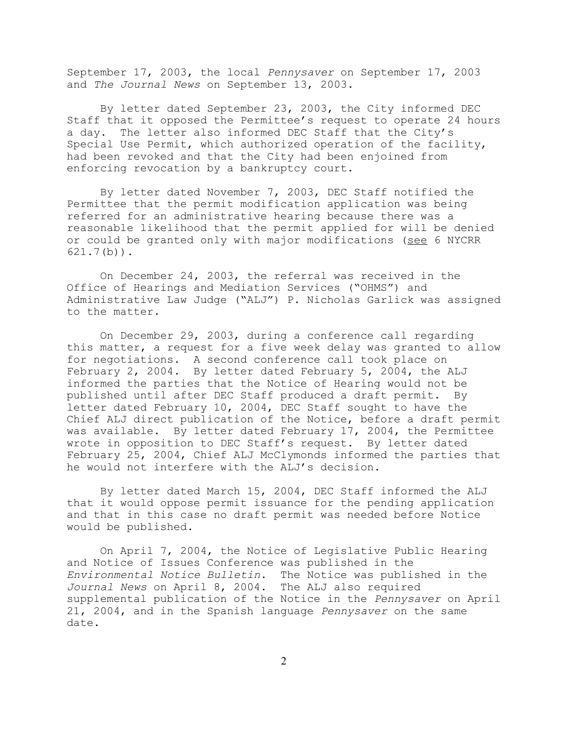September 17, 2003, the local *Pennysaver* on September 17, 2003 and *The Journal News* on September 13, 2003.

By letter dated September 23, 2003, the City informed DEC Staff that it opposed the Permittee's request to operate 24 hours a day. The letter also informed DEC Staff that the City's Special Use Permit, which authorized operation of the facility, had been revoked and that the City had been enjoined from enforcing revocation by a bankruptcy court.

By letter dated November 7, 2003, DEC Staff notified the Permittee that the permit modification application was being referred for an administrative hearing because there was a reasonable likelihood that the permit applied for will be denied or could be granted only with major modifications (see 6 NYCRR 621.7(b)).

On December 24, 2003, the referral was received in the Office of Hearings and Mediation Services ("OHMS") and Administrative Law Judge ("ALJ") P. Nicholas Garlick was assigned to the matter.

On December 29, 2003, during a conference call regarding this matter, a request for a five week delay was granted to allow for negotiations. A second conference call took place on February 2, 2004. By letter dated February 5, 2004, the ALJ informed the parties that the Notice of Hearing would not be published until after DEC Staff produced a draft permit. By letter dated February 10, 2004, DEC Staff sought to have the Chief ALJ direct publication of the Notice, before a draft permit was available. By letter dated February 17, 2004, the Permittee wrote in opposition to DEC Staff's request. By letter dated February 25, 2004, Chief ALJ McClymonds informed the parties that he would not interfere with the ALJ's decision.

By letter dated March 15, 2004, DEC Staff informed the ALJ that it would oppose permit issuance for the pending application and that in this case no draft permit was needed before Notice would be published.

On April 7, 2004, the Notice of Legislative Public Hearing and Notice of Issues Conference was published in the *Environmental Notice Bulletin*. The Notice was published in the *Journal News* on April 8, 2004. The ALJ also required supplemental publication of the Notice in the *Pennysaver* on April 21, 2004, and in the Spanish language *Pennysaver* on the same date.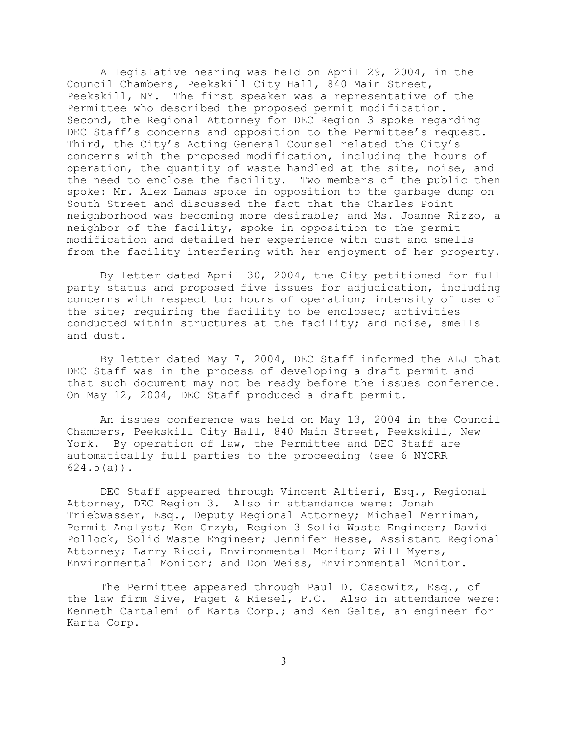A legislative hearing was held on April 29, 2004, in the Council Chambers, Peekskill City Hall, 840 Main Street, Peekskill, NY. The first speaker was a representative of the Permittee who described the proposed permit modification. Second, the Regional Attorney for DEC Region 3 spoke regarding DEC Staff's concerns and opposition to the Permittee's request. Third, the City's Acting General Counsel related the City's concerns with the proposed modification, including the hours of operation, the quantity of waste handled at the site, noise, and the need to enclose the facility. Two members of the public then spoke: Mr. Alex Lamas spoke in opposition to the garbage dump on South Street and discussed the fact that the Charles Point neighborhood was becoming more desirable; and Ms. Joanne Rizzo, a neighbor of the facility, spoke in opposition to the permit modification and detailed her experience with dust and smells from the facility interfering with her enjoyment of her property.

By letter dated April 30, 2004, the City petitioned for full party status and proposed five issues for adjudication, including concerns with respect to: hours of operation; intensity of use of the site; requiring the facility to be enclosed; activities conducted within structures at the facility; and noise, smells and dust.

By letter dated May 7, 2004, DEC Staff informed the ALJ that DEC Staff was in the process of developing a draft permit and that such document may not be ready before the issues conference. On May 12, 2004, DEC Staff produced a draft permit.

An issues conference was held on May 13, 2004 in the Council Chambers, Peekskill City Hall, 840 Main Street, Peekskill, New York. By operation of law, the Permittee and DEC Staff are automatically full parties to the proceeding (see 6 NYCRR  $624.5(a)$ .

DEC Staff appeared through Vincent Altieri, Esq., Regional Attorney, DEC Region 3. Also in attendance were: Jonah Triebwasser, Esq., Deputy Regional Attorney; Michael Merriman, Permit Analyst; Ken Grzyb, Region 3 Solid Waste Engineer; David Pollock, Solid Waste Engineer; Jennifer Hesse, Assistant Regional Attorney; Larry Ricci, Environmental Monitor; Will Myers, Environmental Monitor; and Don Weiss, Environmental Monitor.

The Permittee appeared through Paul D. Casowitz, Esq., of the law firm Sive, Paget & Riesel, P.C. Also in attendance were: Kenneth Cartalemi of Karta Corp.; and Ken Gelte, an engineer for Karta Corp.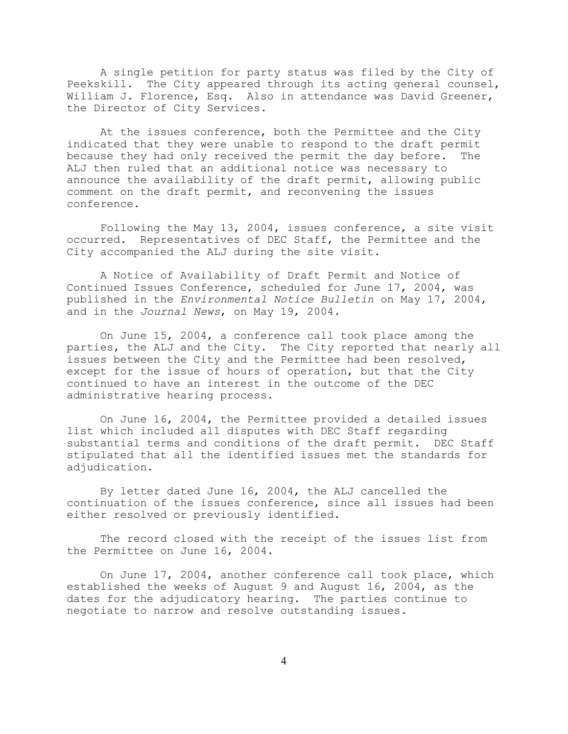A single petition for party status was filed by the City of Peekskill. The City appeared through its acting general counsel, William J. Florence, Esq. Also in attendance was David Greener, the Director of City Services.

At the issues conference, both the Permittee and the City indicated that they were unable to respond to the draft permit because they had only received the permit the day before. The ALJ then ruled that an additional notice was necessary to announce the availability of the draft permit, allowing public comment on the draft permit, and reconvening the issues conference.

Following the May 13, 2004, issues conference, a site visit occurred. Representatives of DEC Staff, the Permittee and the City accompanied the ALJ during the site visit.

A Notice of Availability of Draft Permit and Notice of Continued Issues Conference, scheduled for June 17, 2004, was published in the *Environmental Notice Bulletin* on May 17, 2004, and in the *Journal News*, on May 19, 2004.

On June 15, 2004, a conference call took place among the parties, the ALJ and the City. The City reported that nearly all issues between the City and the Permittee had been resolved, except for the issue of hours of operation, but that the City continued to have an interest in the outcome of the DEC administrative hearing process.

On June 16, 2004, the Permittee provided a detailed issues list which included all disputes with DEC Staff regarding substantial terms and conditions of the draft permit. DEC Staff stipulated that all the identified issues met the standards for adjudication.

By letter dated June 16, 2004, the ALJ cancelled the continuation of the issues conference, since all issues had been either resolved or previously identified.

The record closed with the receipt of the issues list from the Permittee on June 16, 2004.

On June 17, 2004, another conference call took place, which established the weeks of August 9 and August 16, 2004, as the dates for the adjudicatory hearing. The parties continue to negotiate to narrow and resolve outstanding issues.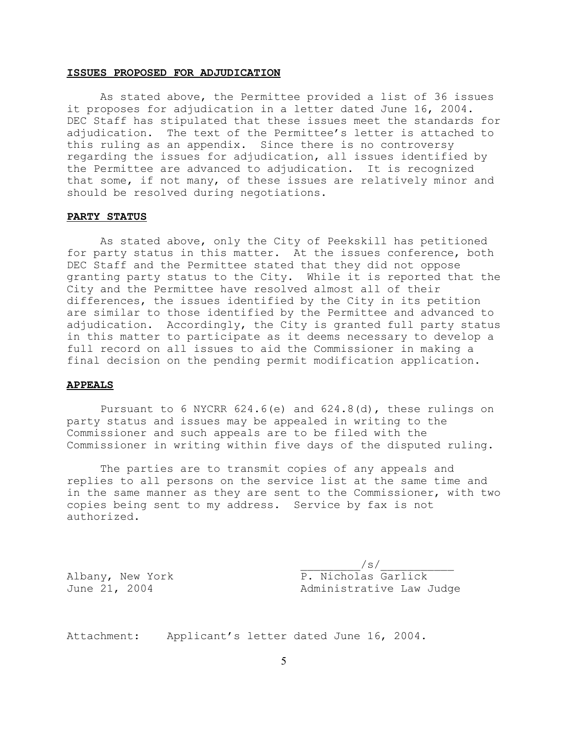#### **ISSUES PROPOSED FOR ADJUDICATION**

As stated above, the Permittee provided a list of 36 issues it proposes for adjudication in a letter dated June 16, 2004. DEC Staff has stipulated that these issues meet the standards for adjudication. The text of the Permittee's letter is attached to this ruling as an appendix. Since there is no controversy regarding the issues for adjudication, all issues identified by the Permittee are advanced to adjudication. It is recognized that some, if not many, of these issues are relatively minor and should be resolved during negotiations.

#### **PARTY STATUS**

As stated above, only the City of Peekskill has petitioned for party status in this matter. At the issues conference, both DEC Staff and the Permittee stated that they did not oppose granting party status to the City. While it is reported that the City and the Permittee have resolved almost all of their differences, the issues identified by the City in its petition are similar to those identified by the Permittee and advanced to adjudication. Accordingly, the City is granted full party status in this matter to participate as it deems necessary to develop a full record on all issues to aid the Commissioner in making a final decision on the pending permit modification application.

#### **APPEALS**

Pursuant to 6 NYCRR 624.6(e) and 624.8(d), these rulings on party status and issues may be appealed in writing to the Commissioner and such appeals are to be filed with the Commissioner in writing within five days of the disputed ruling.

The parties are to transmit copies of any appeals and replies to all persons on the service list at the same time and in the same manner as they are sent to the Commissioner, with two copies being sent to my address. Service by fax is not authorized.

 $\sqrt{s}/$ Albany, New York P. Nicholas Garlick June 21, 2004 Administrative Law Judge

Attachment: Applicant's letter dated June 16, 2004.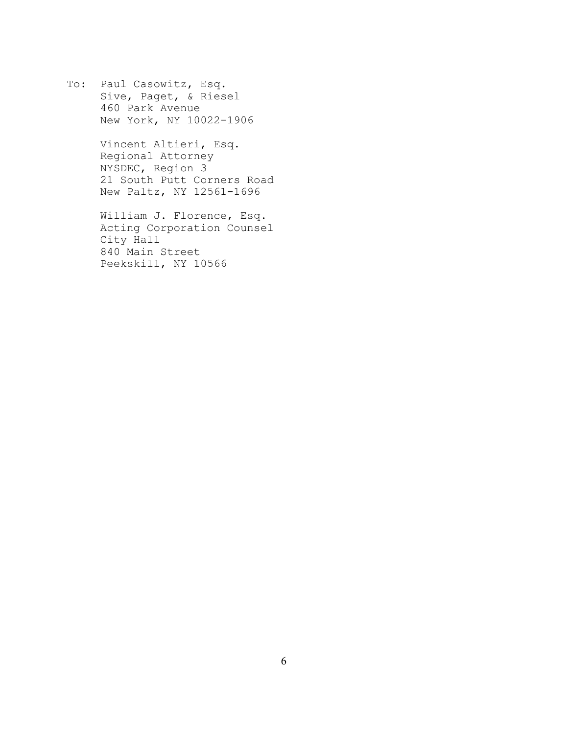To: Paul Casowitz, Esq. Sive, Paget, & Riesel 460 Park Avenue New York, NY 10022-1906

> Vincent Altieri, Esq. Regional Attorney NYSDEC, Region 3 21 South Putt Corners Road New Paltz, NY 12561-1696

> William J. Florence, Esq. Acting Corporation Counsel City Hall 840 Main Street Peekskill, NY 10566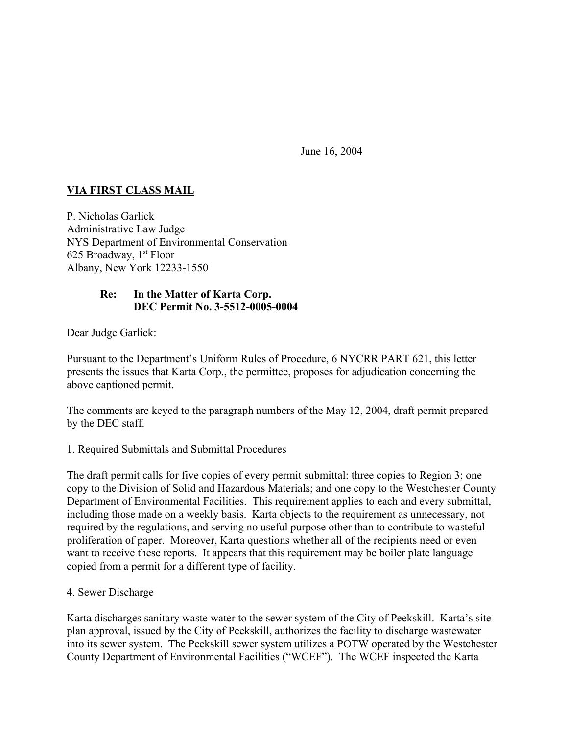June 16, 2004

# **VIA FIRST CLASS MAIL**

P. Nicholas Garlick Administrative Law Judge NYS Department of Environmental Conservation 625 Broadway,  $1<sup>st</sup> Floor$ Albany, New York 12233-1550

## **Re: In the Matter of Karta Corp. DEC Permit No. 3-5512-0005-0004**

Dear Judge Garlick:

Pursuant to the Department's Uniform Rules of Procedure, 6 NYCRR PART 621, this letter presents the issues that Karta Corp., the permittee, proposes for adjudication concerning the above captioned permit.

The comments are keyed to the paragraph numbers of the May 12, 2004, draft permit prepared by the DEC staff.

### 1. Required Submittals and Submittal Procedures

The draft permit calls for five copies of every permit submittal: three copies to Region 3; one copy to the Division of Solid and Hazardous Materials; and one copy to the Westchester County Department of Environmental Facilities. This requirement applies to each and every submittal, including those made on a weekly basis. Karta objects to the requirement as unnecessary, not required by the regulations, and serving no useful purpose other than to contribute to wasteful proliferation of paper. Moreover, Karta questions whether all of the recipients need or even want to receive these reports. It appears that this requirement may be boiler plate language copied from a permit for a different type of facility.

### 4. Sewer Discharge

Karta discharges sanitary waste water to the sewer system of the City of Peekskill. Karta's site plan approval, issued by the City of Peekskill, authorizes the facility to discharge wastewater into its sewer system. The Peekskill sewer system utilizes a POTW operated by the Westchester County Department of Environmental Facilities ("WCEF"). The WCEF inspected the Karta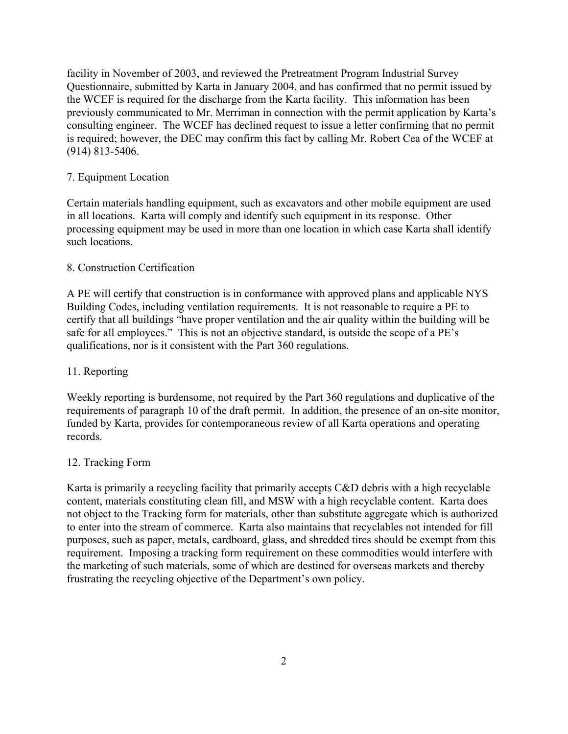facility in November of 2003, and reviewed the Pretreatment Program Industrial Survey Questionnaire, submitted by Karta in January 2004, and has confirmed that no permit issued by the WCEF is required for the discharge from the Karta facility. This information has been previously communicated to Mr. Merriman in connection with the permit application by Karta's consulting engineer. The WCEF has declined request to issue a letter confirming that no permit is required; however, the DEC may confirm this fact by calling Mr. Robert Cea of the WCEF at (914) 813-5406.

## 7. Equipment Location

Certain materials handling equipment, such as excavators and other mobile equipment are used in all locations. Karta will comply and identify such equipment in its response. Other processing equipment may be used in more than one location in which case Karta shall identify such locations.

### 8. Construction Certification

A PE will certify that construction is in conformance with approved plans and applicable NYS Building Codes, including ventilation requirements. It is not reasonable to require a PE to certify that all buildings "have proper ventilation and the air quality within the building will be safe for all employees." This is not an objective standard, is outside the scope of a PE's qualifications, nor is it consistent with the Part 360 regulations.

## 11. Reporting

Weekly reporting is burdensome, not required by the Part 360 regulations and duplicative of the requirements of paragraph 10 of the draft permit. In addition, the presence of an on-site monitor, funded by Karta, provides for contemporaneous review of all Karta operations and operating records.

### 12. Tracking Form

Karta is primarily a recycling facility that primarily accepts C&D debris with a high recyclable content, materials constituting clean fill, and MSW with a high recyclable content. Karta does not object to the Tracking form for materials, other than substitute aggregate which is authorized to enter into the stream of commerce. Karta also maintains that recyclables not intended for fill purposes, such as paper, metals, cardboard, glass, and shredded tires should be exempt from this requirement. Imposing a tracking form requirement on these commodities would interfere with the marketing of such materials, some of which are destined for overseas markets and thereby frustrating the recycling objective of the Department's own policy.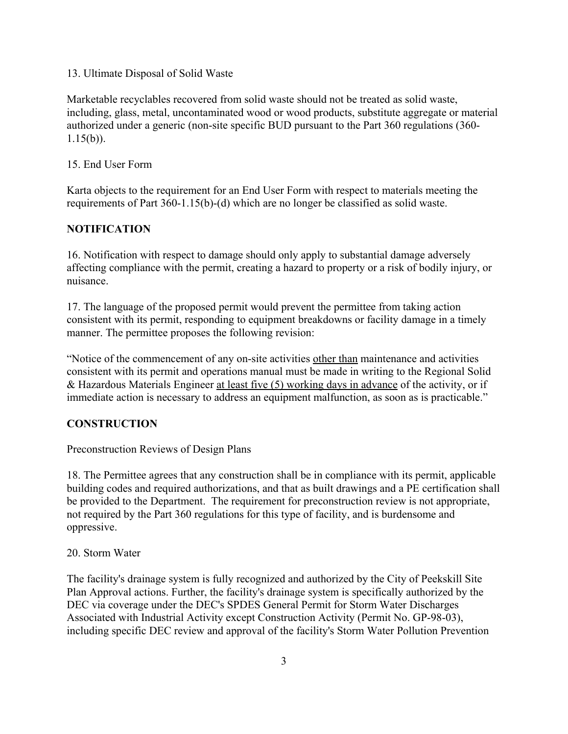13. Ultimate Disposal of Solid Waste

Marketable recyclables recovered from solid waste should not be treated as solid waste, including, glass, metal, uncontaminated wood or wood products, substitute aggregate or material authorized under a generic (non-site specific BUD pursuant to the Part 360 regulations (360-  $1.15(b)$ ).

### 15. End User Form

Karta objects to the requirement for an End User Form with respect to materials meeting the requirements of Part 360-1.15(b)-(d) which are no longer be classified as solid waste.

### **NOTIFICATION**

16. Notification with respect to damage should only apply to substantial damage adversely affecting compliance with the permit, creating a hazard to property or a risk of bodily injury, or nuisance.

17. The language of the proposed permit would prevent the permittee from taking action consistent with its permit, responding to equipment breakdowns or facility damage in a timely manner. The permittee proposes the following revision:

"Notice of the commencement of any on-site activities other than maintenance and activities consistent with its permit and operations manual must be made in writing to the Regional Solid & Hazardous Materials Engineer at least five (5) working days in advance of the activity, or if immediate action is necessary to address an equipment malfunction, as soon as is practicable."

### **CONSTRUCTION**

Preconstruction Reviews of Design Plans

18. The Permittee agrees that any construction shall be in compliance with its permit, applicable building codes and required authorizations, and that as built drawings and a PE certification shall be provided to the Department. The requirement for preconstruction review is not appropriate, not required by the Part 360 regulations for this type of facility, and is burdensome and oppressive.

### 20. Storm Water

The facility's drainage system is fully recognized and authorized by the City of Peekskill Site Plan Approval actions. Further, the facility's drainage system is specifically authorized by the DEC via coverage under the DEC's SPDES General Permit for Storm Water Discharges Associated with Industrial Activity except Construction Activity (Permit No. GP-98-03), including specific DEC review and approval of the facility's Storm Water Pollution Prevention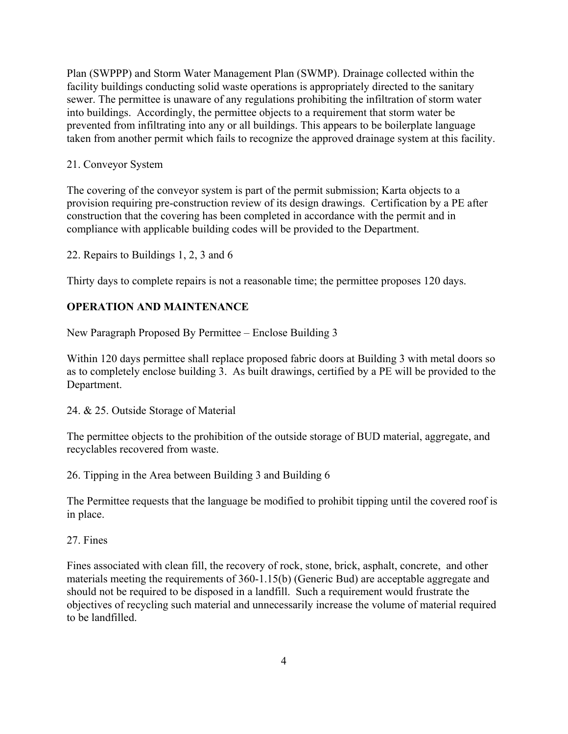Plan (SWPPP) and Storm Water Management Plan (SWMP). Drainage collected within the facility buildings conducting solid waste operations is appropriately directed to the sanitary sewer. The permittee is unaware of any regulations prohibiting the infiltration of storm water into buildings. Accordingly, the permittee objects to a requirement that storm water be prevented from infiltrating into any or all buildings. This appears to be boilerplate language taken from another permit which fails to recognize the approved drainage system at this facility.

## 21. Conveyor System

The covering of the conveyor system is part of the permit submission; Karta objects to a provision requiring pre-construction review of its design drawings. Certification by a PE after construction that the covering has been completed in accordance with the permit and in compliance with applicable building codes will be provided to the Department.

22. Repairs to Buildings 1, 2, 3 and 6

Thirty days to complete repairs is not a reasonable time; the permittee proposes 120 days.

# **OPERATION AND MAINTENANCE**

New Paragraph Proposed By Permittee – Enclose Building 3

Within 120 days permittee shall replace proposed fabric doors at Building 3 with metal doors so as to completely enclose building 3. As built drawings, certified by a PE will be provided to the Department.

24. & 25. Outside Storage of Material

The permittee objects to the prohibition of the outside storage of BUD material, aggregate, and recyclables recovered from waste.

26. Tipping in the Area between Building 3 and Building 6

The Permittee requests that the language be modified to prohibit tipping until the covered roof is in place.

### 27. Fines

Fines associated with clean fill, the recovery of rock, stone, brick, asphalt, concrete, and other materials meeting the requirements of 360-1.15(b) (Generic Bud) are acceptable aggregate and should not be required to be disposed in a landfill. Such a requirement would frustrate the objectives of recycling such material and unnecessarily increase the volume of material required to be landfilled.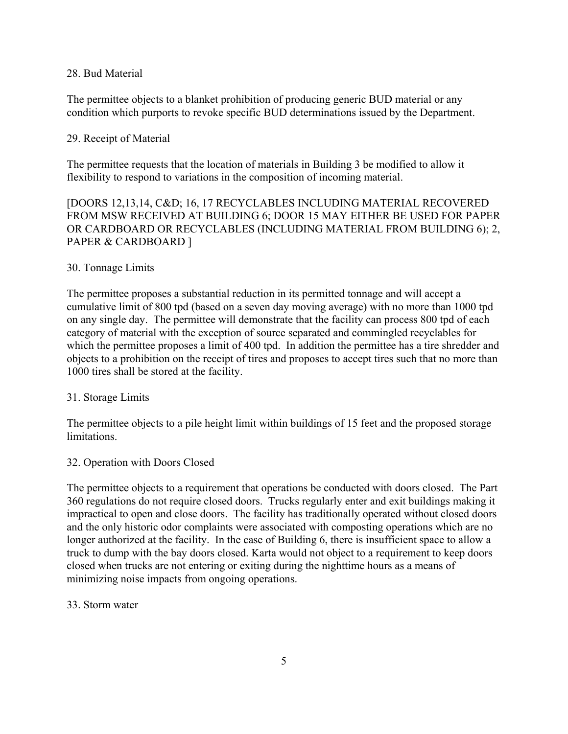### 28. Bud Material

The permittee objects to a blanket prohibition of producing generic BUD material or any condition which purports to revoke specific BUD determinations issued by the Department.

#### 29. Receipt of Material

The permittee requests that the location of materials in Building 3 be modified to allow it flexibility to respond to variations in the composition of incoming material.

[DOORS 12,13,14, C&D; 16, 17 RECYCLABLES INCLUDING MATERIAL RECOVERED FROM MSW RECEIVED AT BUILDING 6; DOOR 15 MAY EITHER BE USED FOR PAPER OR CARDBOARD OR RECYCLABLES (INCLUDING MATERIAL FROM BUILDING 6); 2, PAPER & CARDBOARD ]

#### 30. Tonnage Limits

The permittee proposes a substantial reduction in its permitted tonnage and will accept a cumulative limit of 800 tpd (based on a seven day moving average) with no more than 1000 tpd on any single day. The permittee will demonstrate that the facility can process 800 tpd of each category of material with the exception of source separated and commingled recyclables for which the permittee proposes a limit of 400 tpd. In addition the permittee has a tire shredder and objects to a prohibition on the receipt of tires and proposes to accept tires such that no more than 1000 tires shall be stored at the facility.

### 31. Storage Limits

The permittee objects to a pile height limit within buildings of 15 feet and the proposed storage limitations.

### 32. Operation with Doors Closed

The permittee objects to a requirement that operations be conducted with doors closed. The Part 360 regulations do not require closed doors. Trucks regularly enter and exit buildings making it impractical to open and close doors. The facility has traditionally operated without closed doors and the only historic odor complaints were associated with composting operations which are no longer authorized at the facility. In the case of Building 6, there is insufficient space to allow a truck to dump with the bay doors closed. Karta would not object to a requirement to keep doors closed when trucks are not entering or exiting during the nighttime hours as a means of minimizing noise impacts from ongoing operations.

#### 33. Storm water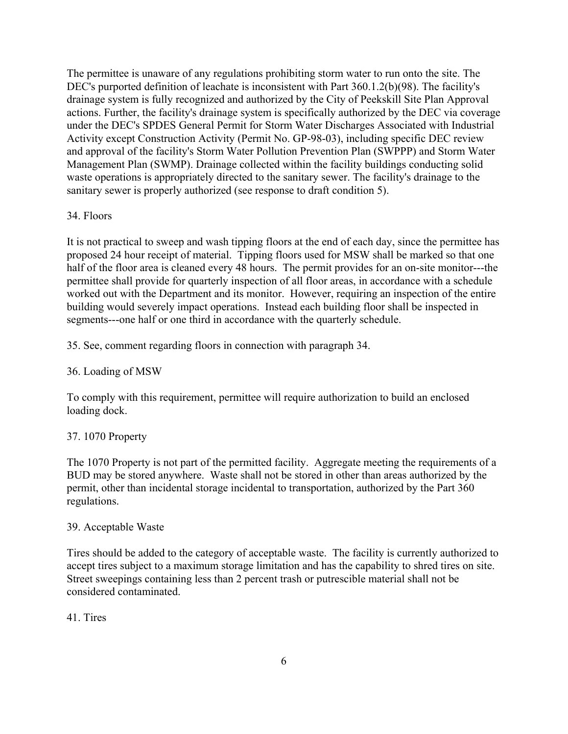The permittee is unaware of any regulations prohibiting storm water to run onto the site. The DEC's purported definition of leachate is inconsistent with Part 360.1.2(b)(98). The facility's drainage system is fully recognized and authorized by the City of Peekskill Site Plan Approval actions. Further, the facility's drainage system is specifically authorized by the DEC via coverage under the DEC's SPDES General Permit for Storm Water Discharges Associated with Industrial Activity except Construction Activity (Permit No. GP-98-03), including specific DEC review and approval of the facility's Storm Water Pollution Prevention Plan (SWPPP) and Storm Water Management Plan (SWMP). Drainage collected within the facility buildings conducting solid waste operations is appropriately directed to the sanitary sewer. The facility's drainage to the sanitary sewer is properly authorized (see response to draft condition 5).

### 34. Floors

It is not practical to sweep and wash tipping floors at the end of each day, since the permittee has proposed 24 hour receipt of material. Tipping floors used for MSW shall be marked so that one half of the floor area is cleaned every 48 hours. The permit provides for an on-site monitor---the permittee shall provide for quarterly inspection of all floor areas, in accordance with a schedule worked out with the Department and its monitor. However, requiring an inspection of the entire building would severely impact operations. Instead each building floor shall be inspected in segments---one half or one third in accordance with the quarterly schedule.

35. See, comment regarding floors in connection with paragraph 34.

# 36. Loading of MSW

To comply with this requirement, permittee will require authorization to build an enclosed loading dock.

# 37. 1070 Property

The 1070 Property is not part of the permitted facility. Aggregate meeting the requirements of a BUD may be stored anywhere. Waste shall not be stored in other than areas authorized by the permit, other than incidental storage incidental to transportation, authorized by the Part 360 regulations.

### 39. Acceptable Waste

Tires should be added to the category of acceptable waste. The facility is currently authorized to accept tires subject to a maximum storage limitation and has the capability to shred tires on site. Street sweepings containing less than 2 percent trash or putrescible material shall not be considered contaminated.

# 41. Tires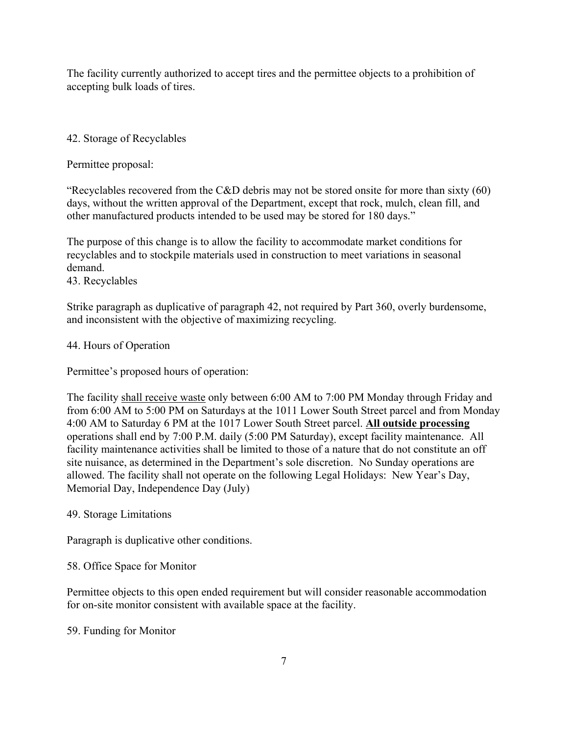The facility currently authorized to accept tires and the permittee objects to a prohibition of accepting bulk loads of tires.

# 42. Storage of Recyclables

Permittee proposal:

"Recyclables recovered from the C&D debris may not be stored onsite for more than sixty (60) days, without the written approval of the Department, except that rock, mulch, clean fill, and other manufactured products intended to be used may be stored for 180 days."

The purpose of this change is to allow the facility to accommodate market conditions for recyclables and to stockpile materials used in construction to meet variations in seasonal demand.

# 43. Recyclables

Strike paragraph as duplicative of paragraph 42, not required by Part 360, overly burdensome, and inconsistent with the objective of maximizing recycling.

## 44. Hours of Operation

Permittee's proposed hours of operation:

The facility shall receive waste only between 6:00 AM to 7:00 PM Monday through Friday and from 6:00 AM to 5:00 PM on Saturdays at the 1011 Lower South Street parcel and from Monday 4:00 AM to Saturday 6 PM at the 1017 Lower South Street parcel. **All outside processing** operations shall end by 7:00 P.M. daily (5:00 PM Saturday), except facility maintenance. All facility maintenance activities shall be limited to those of a nature that do not constitute an off site nuisance, as determined in the Department's sole discretion. No Sunday operations are allowed. The facility shall not operate on the following Legal Holidays: New Year's Day, Memorial Day, Independence Day (July)

# 49. Storage Limitations

Paragraph is duplicative other conditions.

# 58. Office Space for Monitor

Permittee objects to this open ended requirement but will consider reasonable accommodation for on-site monitor consistent with available space at the facility.

# 59. Funding for Monitor